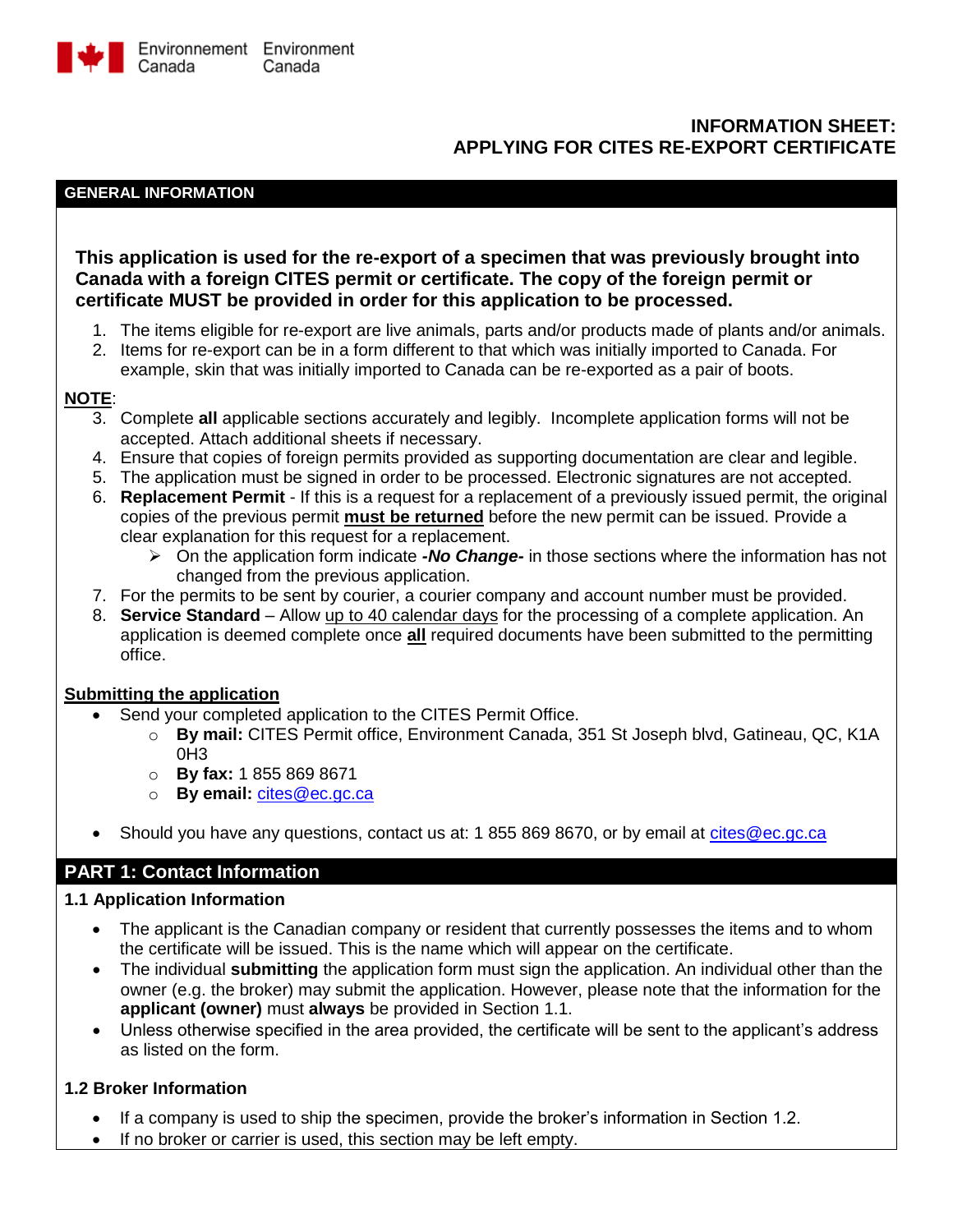

# **INFORMATION SHEET: APPLYING FOR CITES RE-EXPORT CERTIFICATE**

#### **GENERAL INFORMATION**

**This application is used for the re-export of a specimen that was previously brought into Canada with a foreign CITES permit or certificate. The copy of the foreign permit or certificate MUST be provided in order for this application to be processed.**

- 1. The items eligible for re-export are live animals, parts and/or products made of plants and/or animals.
- 2. Items for re-export can be in a form different to that which was initially imported to Canada. For example, skin that was initially imported to Canada can be re-exported as a pair of boots.

#### **NOTE**:

- 3. Complete **all** applicable sections accurately and legibly. Incomplete application forms will not be accepted. Attach additional sheets if necessary.
- 4. Ensure that copies of foreign permits provided as supporting documentation are clear and legible.
- 5. The application must be signed in order to be processed. Electronic signatures are not accepted.
- 6. **Replacement Permit** If this is a request for a replacement of a previously issued permit, the original copies of the previous permit **must be returned** before the new permit can be issued. Provide a clear explanation for this request for a replacement.
	- On the application form indicate *-No Change-* in those sections where the information has not changed from the previous application.
- 7. For the permits to be sent by courier, a courier company and account number must be provided.
- 8. **Service Standard** Allow up to 40 calendar days for the processing of a complete application. An application is deemed complete once **all** required documents have been submitted to the permitting office.

#### **Submitting the application**

- Send your completed application to the CITES Permit Office.
	- o **By mail:** CITES Permit office, Environment Canada, 351 St Joseph blvd, Gatineau, QC, K1A 0H3
	- o **By fax:** 1 855 869 8671
	- o **By email:** [cites@ec.gc.ca](mailto:cites@ec.gc.ca)
- Should you have any questions, contact us at: 1 855 869 8670, or by email at [cites@ec.gc.ca](mailto:cites@ec.gc.ca)

# **PART 1: Contact Information**

#### **1.1 Application Information**

- The applicant is the Canadian company or resident that currently possesses the items and to whom the certificate will be issued. This is the name which will appear on the certificate.
- The individual **submitting** the application form must sign the application. An individual other than the owner (e.g. the broker) may submit the application. However, please note that the information for the **applicant (owner)** must **always** be provided in Section 1.1.
- Unless otherwise specified in the area provided, the certificate will be sent to the applicant's address as listed on the form.

#### **1.2 Broker Information**

- If a company is used to ship the specimen, provide the broker's information in Section 1.2.
- If no broker or carrier is used, this section may be left empty.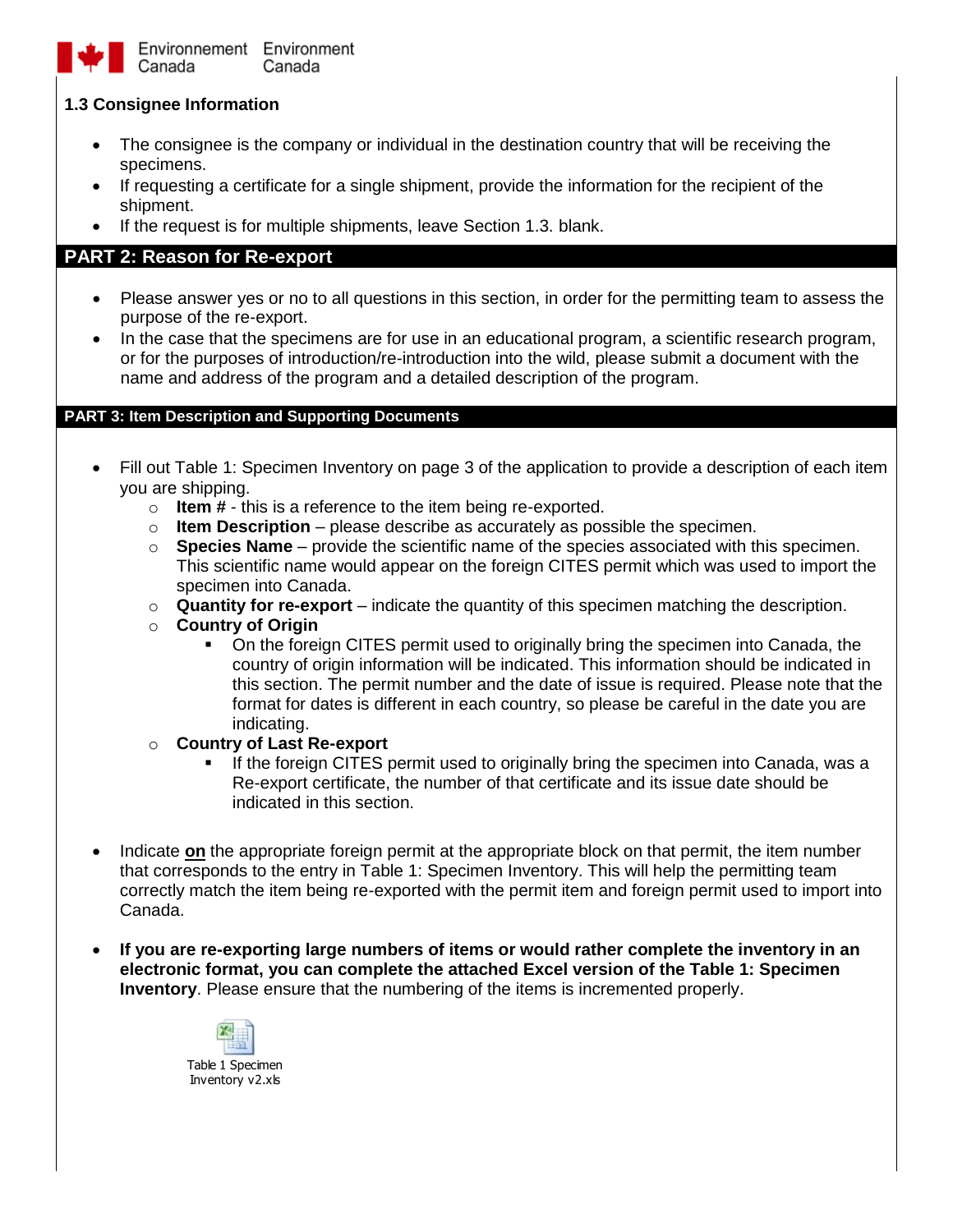

Environnement Environment Canada Canada

### **1.3 Consignee Information**

- The consignee is the company or individual in the destination country that will be receiving the specimens.
- If requesting a certificate for a single shipment, provide the information for the recipient of the shipment.
- If the request is for multiple shipments, leave Section 1.3. blank.

# **PART 2: Reason for Re-export**

- Please answer yes or no to all questions in this section, in order for the permitting team to assess the purpose of the re-export.
- In the case that the specimens are for use in an educational program, a scientific research program, or for the purposes of introduction/re-introduction into the wild, please submit a document with the name and address of the program and a detailed description of the program.

### **PART 3: Item Description and Supporting Documents**

- Fill out Table 1: Specimen Inventory on page 3 of the application to provide a description of each item you are shipping.
	- o **Item #** this is a reference to the item being re-exported.
	- o **Item Description** please describe as accurately as possible the specimen.
	- o **Species Name** provide the scientific name of the species associated with this specimen. This scientific name would appear on the foreign CITES permit which was used to import the specimen into Canada.
	- $\circ$  **Quantity for re-export** indicate the quantity of this specimen matching the description.
	- o **Country of Origin**
		- On the foreign CITES permit used to originally bring the specimen into Canada, the country of origin information will be indicated. This information should be indicated in this section. The permit number and the date of issue is required. Please note that the format for dates is different in each country, so please be careful in the date you are indicating.

#### o **Country of Last Re-export**

- If the foreign CITES permit used to originally bring the specimen into Canada, was a Re-export certificate, the number of that certificate and its issue date should be indicated in this section.
- Indicate on the appropriate foreign permit at the appropriate block on that permit, the item number that corresponds to the entry in Table 1: Specimen Inventory. This will help the permitting team correctly match the item being re-exported with the permit item and foreign permit used to import into Canada.
- **If you are re-exporting large numbers of items or would rather complete the inventory in an electronic format, you can complete the attached Excel version of the Table 1: Specimen Inventory**. Please ensure that the numbering of the items is incremented properly.